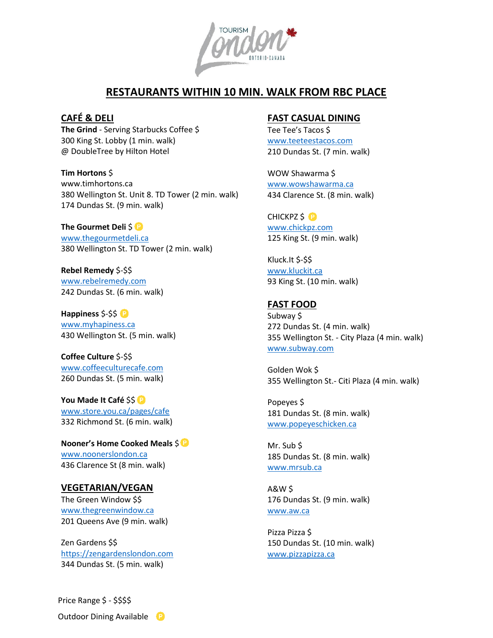

# **RESTAURANTS WITHIN 10 MIN. WALK FROM RBC PLACE**

### **CAFÉ & DELI**

**The Grind** - Serving Starbucks Coffee \$ 300 King St. Lobby (1 min. walk) @ DoubleTree by Hilton Hotel

**Tim Hortons** \$ www.timhortons.ca

380 Wellington St. Unit 8. TD Tower (2 min. walk) 174 Dundas St. (9 min. walk)

**The Gourmet Deli** \$<sup>1</sup> [www.thegourmetdeli.ca](http://www.thegourmetdeli.ca/) 380 Wellington St. TD Tower (2 min. walk)

**Rebel Remedy** \$-\$\$ [www.rebelremedy.com](http://www.rebelremedy.com/) 242 Dundas St. (6 min. walk)

**Happiness** \$-\$\$ [www.myhapiness.ca](http://www.myhapiness.ca/) 430 Wellington St. (5 min. walk)

**Coffee Culture** \$-\$\$ [www.coffeeculturecafe.com](http://www.coffeeculturecafe.com/) 260 Dundas St. (5 min. walk)

**You Made It Café** \$\$ [www.store.you.ca/pages/cafe](http://www.store.you.ca/pages/cafe) 332 Richmond St. (6 min. walk)

**Nooner's Home Cooked Meals** \$ [www.noonerslondon.ca](http://www.noonerslondon.ca/)  436 Clarence St (8 min. walk)

#### **VEGETARIAN/VEGAN**

The Green Window \$\$ [www.thegreenwindow.ca](http://www.thegreenwindow.ca/) 201 Queens Ave (9 min. walk)

Zen Gardens \$\$ [https://zengardenslondon.com](https://zengardenslondon.com/) 344 Dundas St. (5 min. walk)

# **FAST CASUAL DINING**

Tee Tee's Tacos \$ [www.teeteestacos.com](http://www.teeteestacos.com/) 210 Dundas St. (7 min. walk)

WOW Shawarma \$ [www.wowshawarma.ca](http://www.wowshawarma.ca/) 434 Clarence St. (8 min. walk)

CHICKPZ \$<sup>®</sup> [www.chickpz.com](http://www.chickpz.com/) 125 King St. (9 min. walk)

Kluck.It \$-\$\$ [www.kluckit.ca](http://www.kluckit.ca/) 93 King St. (10 min. walk)

## **FAST FOOD**

Subway \$ 272 Dundas St. (4 min. walk) 355 Wellington St. - City Plaza (4 min. walk) [www.subway.com](http://www.subway.com/)

Golden Wok \$ 355 Wellington St.- Citi Plaza (4 min. walk)

Popeyes \$ 181 Dundas St. (8 min. walk) [www.popeyeschicken.ca](http://www.popeyeschicken.ca/)

Mr. Sub \$ 185 Dundas St. (8 min. walk) [www.mrsub.ca](http://www.mrsub.ca/)

A&W \$ 176 Dundas St. (9 min. walk) [www.aw.ca](http://www.aw.ca/)

Pizza Pizza \$ 150 Dundas St. (10 min. walk) [www.pizzapizza.ca](http://www.pizzapizza.ca/)

Price Range \$ - \$\$\$\$

Outdoor Dining Available